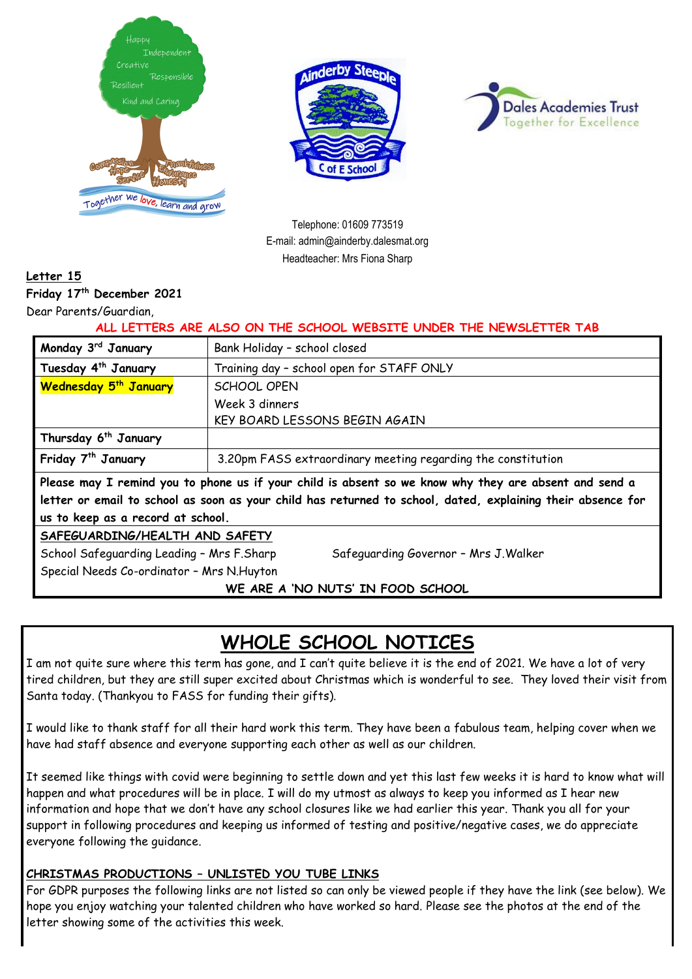





Telephone: 01609 773519 E-mail: admin@ainderby.dalesmat.org Headteacher: Mrs Fiona Sharp

### **Letter 15**

**Friday 17 th December 2021**

Dear Parents/Guardian,

**ALL LETTERS ARE ALSO ON THE SCHOOL WEBSITE UNDER THE NEWSLETTER TAB**

| Monday 3rd January                                                                                          | Bank Holiday - school closed                                 |  |
|-------------------------------------------------------------------------------------------------------------|--------------------------------------------------------------|--|
| Tuesday 4 <sup>th</sup> January                                                                             | Training day - school open for STAFF ONLY                    |  |
| <b>Wednesday 5<sup>th</sup> January</b>                                                                     | SCHOOL OPEN                                                  |  |
|                                                                                                             | Week 3 dinners                                               |  |
|                                                                                                             | KEY BOARD LESSONS BEGIN AGAIN                                |  |
| Thursday 6 <sup>th</sup> January                                                                            |                                                              |  |
| Friday 7 <sup>th</sup> January                                                                              | 3.20pm FASS extraordinary meeting regarding the constitution |  |
| Please may I remind you to phone us if your child is absent so we know why they are absent and send a       |                                                              |  |
| letter or email to school as soon as your child has returned to school, dated, explaining their absence for |                                                              |  |
| us to keep as a record at school.                                                                           |                                                              |  |
| SAFEGUARDING/HEALTH AND SAFETY                                                                              |                                                              |  |
| School Safeguarding Leading - Mrs F.Sharp<br>Safeguarding Governor - Mrs J. Walker                          |                                                              |  |
| Special Needs Co-ordinator - Mrs N. Huyton                                                                  |                                                              |  |
| WE ARE A 'NO NUTS' IN FOOD SCHOOL                                                                           |                                                              |  |

## **WHOLE SCHOOL NOTICES**

I am not quite sure where this term has gone, and I can't quite believe it is the end of 2021. We have a lot of very tired children, but they are still super excited about Christmas which is wonderful to see. They loved their visit from Santa today. (Thankyou to FASS for funding their gifts).

I would like to thank staff for all their hard work this term. They have been a fabulous team, helping cover when we have had staff absence and everyone supporting each other as well as our children.

It seemed like things with covid were beginning to settle down and yet this last few weeks it is hard to know what will happen and what procedures will be in place. I will do my utmost as always to keep you informed as I hear new information and hope that we don't have any school closures like we had earlier this year. Thank you all for your support in following procedures and keeping us informed of testing and positive/negative cases, we do appreciate everyone following the guidance.

### **CHRISTMAS PRODUCTIONS – UNLISTED YOU TUBE LINKS**

For GDPR purposes the following links are not listed so can only be viewed people if they have the link (see below). We hope you enjoy watching your talented children who have worked so hard. Please see the photos at the end of the letter showing some of the activities this week.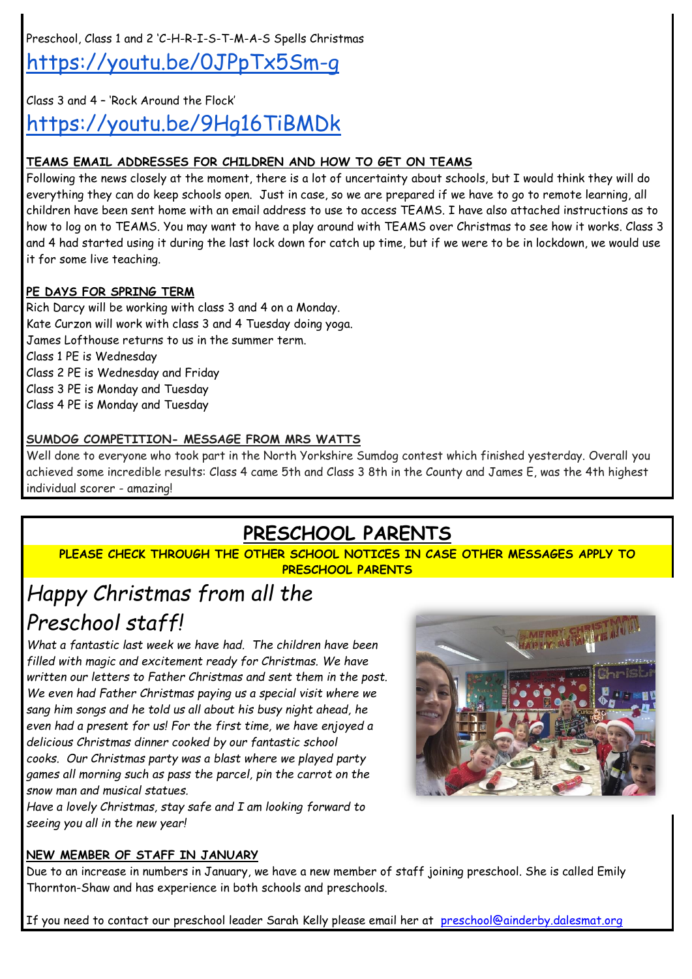Preschool, Class 1 and 2 'C-H-R-I-S-T-M-A-S Spells Christmas <https://youtu.be/0JPpTx5Sm-g>

Class 3 and 4 – 'Rock Around the Flock'

<https://youtu.be/9Hg16TiBMDk>

### **TEAMS EMAIL ADDRESSES FOR CHILDREN AND HOW TO GET ON TEAMS**

Following the news closely at the moment, there is a lot of uncertainty about schools, but I would think they will do everything they can do keep schools open. Just in case, so we are prepared if we have to go to remote learning, all children have been sent home with an email address to use to access TEAMS. I have also attached instructions as to how to log on to TEAMS. You may want to have a play around with TEAMS over Christmas to see how it works. Class 3 and 4 had started using it during the last lock down for catch up time, but if we were to be in lockdown, we would use it for some live teaching.

### **PE DAYS FOR SPRING TERM**

Rich Darcy will be working with class 3 and 4 on a Monday. Kate Curzon will work with class 3 and 4 Tuesday doing yoga. James Lofthouse returns to us in the summer term. Class 1 PE is Wednesday Class 2 PE is Wednesday and Friday Class 3 PE is Monday and Tuesday Class 4 PE is Monday and Tuesday

### **SUMDOG COMPETITION- MESSAGE FROM MRS WATTS**

Well done to everyone who took part in the North Yorkshire Sumdog contest which finished yesterday. Overall you achieved some incredible results: Class 4 came 5th and Class 3 8th in the County and James E, was the 4th highest individual scorer - amazing!

## **PRESCHOOL PARENTS**

**PLEASE CHECK THROUGH THE OTHER SCHOOL NOTICES IN CASE OTHER MESSAGES APPLY TO PRESCHOOL PARENTS**

# *Happy Christmas from all the Preschool staff!*

*What a fantastic last week we have had. The children have been filled with magic and excitement ready for Christmas. We have written our letters to Father Christmas and sent them in the post. We even had Father Christmas paying us a special visit where we sang him songs and he told us all about his busy night ahead, he even had a present for us! For the first time, we have enjoyed a delicious Christmas dinner cooked by our fantastic school cooks. Our Christmas party was a blast where we played party games all morning such as pass the parcel, pin the carrot on the snow man and musical statues.*

*Have a lovely Christmas, stay safe and I am looking forward to seeing you all in the new year!*

### **NEW MEMBER OF STAFF IN JANUARY**

Due to an increase in numbers in January, we have a new member of staff joining preschool. She is called Emily Thornton-Shaw and has experience in both schools and preschools.

If you need to contact our preschool leader Sarah Kelly please email her at [preschool@ainderby.dalesmat.org](mailto:preschool@ainderby.dalesmat.org)

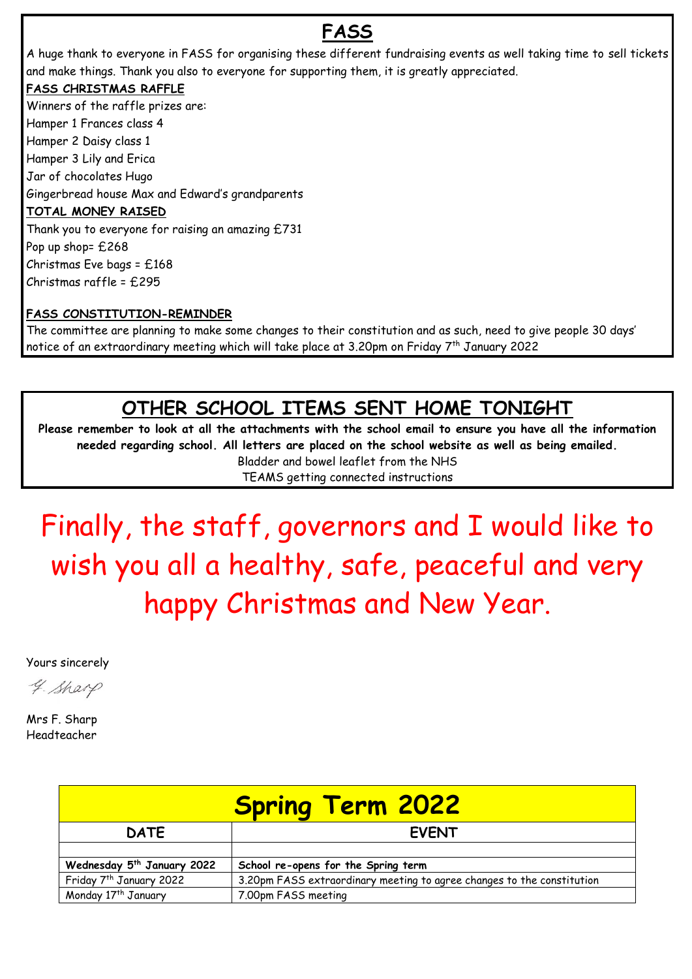## **FASS**

A huge thank to everyone in FASS for organising these different fundraising events as well taking time to sell tickets and make things. Thank you also to everyone for supporting them, it is greatly appreciated.

### **FASS CHRISTMAS RAFFLE**

Winners of the raffle prizes are: Hamper 1 Frances class 4 Hamper 2 Daisy class 1 Hamper 3 Lily and Erica Jar of chocolates Hugo Gingerbread house Max and Edward's grandparents **TOTAL MONEY RAISED** Thank you to everyone for raising an amazing £731 Pop up shop= £268 Christmas Eve bags = £168 Christmas raffle = £295

### **FASS CONSTITUTION-REMINDER**

The committee are planning to make some changes to their constitution and as such, need to give people 30 days' notice of an extraordinary meeting which will take place at 3.20pm on Friday  $7^{\rm th}$  January 2022

### **OTHER SCHOOL ITEMS SENT HOME TONIGHT**

**Please remember to look at all the attachments with the school email to ensure you have all the information needed regarding school. All letters are placed on the school website as well as being emailed.**

Bladder and bowel leaflet from the NHS TEAMS getting connected instructions

Finally, the staff, governors and I would like to wish you all a healthy, safe, peaceful and very happy Christmas and New Year.

Yours sincerely

4. Sharp

Mrs F. Sharp Headteacher

| <b>Spring Term 2022</b>                |                                                                        |
|----------------------------------------|------------------------------------------------------------------------|
| <b>DATE</b>                            | <b>EVENT</b>                                                           |
|                                        |                                                                        |
| Wednesday 5 <sup>th</sup> January 2022 | School re-opens for the Spring term                                    |
| Friday 7 <sup>th</sup> January 2022    | 3.20pm FASS extraordinary meeting to agree changes to the constitution |
| Monday 17 <sup>th</sup> January        | 7.00pm FASS meeting                                                    |